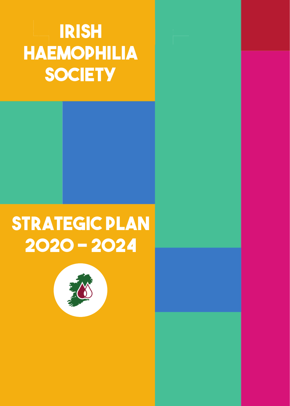# **STRATegic PLAN 2020 - 2024 Irish haemophilia SOCIETY**

# **STRATegic PLAN 2020 - 2024**

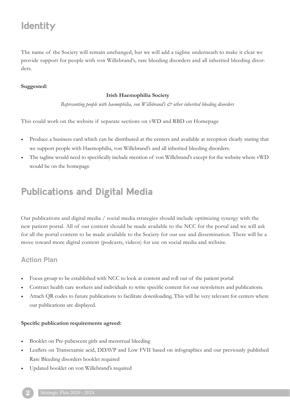# **Identity**

The name of the Society will remain unchanged, but we will add a tagline underneath to make it clear we provide support for people with von Willebrand's, rare bleeding disorders and all inherited bleeding disorders.

#### **Suggested:**

#### **Irish Haemophilia Society**

*Representing people with haemophilia, von Willebrand's & other inherited bleeding disorders*

This could work on the website if separate sections on vWD and RBD on Homepage

- Produce a business card which can be distributed at the centers and available at reception clearly stating that we support people with Haemophilia, von Willebrand's and all inherited bleeding disorders.
- The tagline would need to specifically include mention of von Willebrand's except for the website where vWD would be on the homepage

### **Publications and Digital Media**

Our publications and digital media / social media strategies should include optimizing synergy with the new patient portal. All of our content should be made available to the NCC for the portal and we will ask for all the portal content to be made available to the Society for our use and dissemination. There will be a move toward more digital content (podcasts, videos) for use on social media and website.

### **Action Plan**

- Focus group to be established with NCC to look at content and roll out of the patient portal
- Contract health care workers and individuals to write specific content for our newsletters and publications.
- Attach QR codes to future publications to facilitate downloading. This will be very relevant for centers where our publications are displayed.

#### **Specific publication requirements agreed:**

- Booklet on Pre-pubescent girls and menstrual bleeding
- Leaflets on Transexamic acid, DDAVP and Low FVII based on infographics and our previously published Rare Bleeding disorders booklet required
- Updated booklet on von Willebrand's required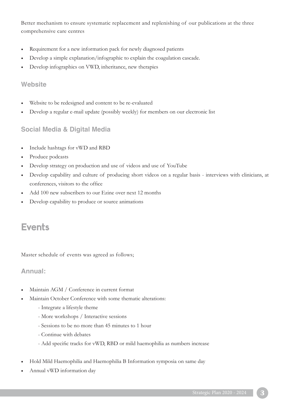Better mechanism to ensure systematic replacement and replenishing of our publications at the three comprehensive care centres

- Requirement for a new information pack for newly diagnosed patients
- Develop a simple explanation/infographic to explain the coagulation cascade.
- Develop infographics on VWD, inheritance, new therapies

### **Website**

- Website to be redesigned and content to be re-evaluated
- Develop a regular e-mail update (possibly weekly) for members on our electronic list

### **Social Media & Digital Media**

- Include hashtags for vWD and RBD
- Produce podcasts
- Develop strategy on production and use of videos and use of YouTube
- Develop capability and culture of producing short videos on a regular basis interviews with clinicians, at conferences, visitors to the office
- Add 100 new subscribers to our Ezine over next 12 months
- Develop capability to produce or source animations

### **Events**

Master schedule of events was agreed as follows;

### **Annual:**

- Maintain AGM / Conference in current format
- Maintain October Conference with some thematic alterations:
	- Integrate a lifestyle theme
	- More workshops / Interactive sessions
	- Sessions to be no more than 45 minutes to 1 hour
	- Continue with debates
	- Add specific tracks for vWD, RBD or mild haemophilia as numbers increase
- Hold Mild Haemophilia and Haemophilia B Information symposia on same day
- Annual vWD information day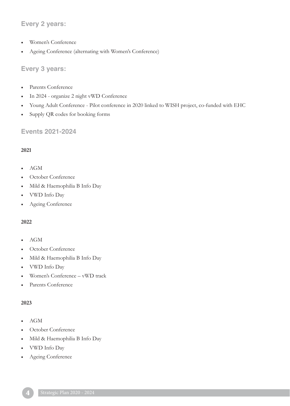### **Every 2 years:**

- Women's Conference
- Ageing Conference (alternating with Women's Conference)

### **Every 3 years:**

- Parents Conference
- In 2024 organize 2 night vWD Conference
- Young Adult Conference Pilot conference in 2020 linked to WISH project, co-funded with EHC
- Supply QR codes for booking forms

### **Events 2021-2024**

### **2021**

- AGM
- October Conference
- Mild & Haemophilia B Info Day
- VWD Info Day
- Ageing Conference

### **2022**

- AGM
- October Conference
- Mild & Haemophilia B Info Day
- VWD Info Day
- Women's Conference vWD track
- Parents Conference

#### **2023**

- AGM
- October Conference
- Mild & Haemophilia B Info Day
- VWD Info Day
- Ageing Conference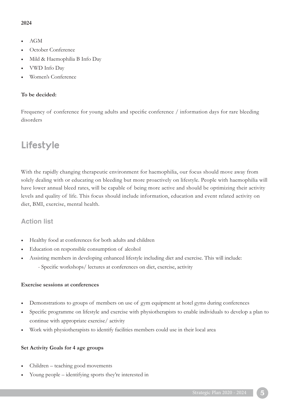#### **2024**

- AGM
- October Conference
- Mild & Haemophilia B Info Day
- VWD Info Day
- Women's Conference

#### **To be decided:**

Frequency of conference for young adults and specific conference  $/$  information days for rare bleeding disorders

### **Lifestyle**

With the rapidly changing therapeutic environment for haemophilia, our focus should move away from solely dealing with or educating on bleeding but more proactively on lifestyle. People with haemophilia will have lower annual bleed rates, will be capable of being more active and should be optimizing their activity levels and quality of life. This focus should include information, education and event related activity on diet, BMI, exercise, mental health.

### **Action list**

- Healthy food at conferences for both adults and children
- Education on responsible consumption of alcohol
- Assisting members in developing enhanced lifestyle including diet and exercise. This will include: - Specific workshops/ lectures at conferences on diet, exercise, activity

#### **Exercise sessions at conferences**

- Demonstrations to groups of members on use of gym equipment at hotel gyms during conferences
- Specific programme on lifestyle and exercise with physiotherapists to enable individuals to develop a plan to continue with appropriate exercise/ activity
- Work with physiotherapists to identify facilities members could use in their local area

#### **Set Activity Goals for 4 age groups**

- Children teaching good movements
- Young people identifying sports they're interested in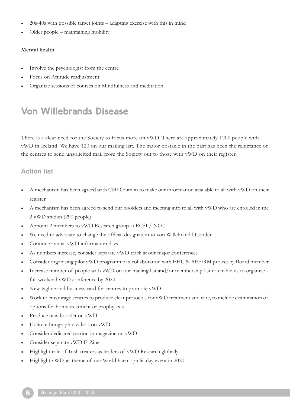- 20s-40s with possible target joints adapting exercise with this in mind
- Older people maintaining mobility

#### **Mental health**

- Involve the psychologist from the centre
- Focus on Attitude readjustment
- Organize sessions or courses on Mindfulness and meditation

### **Von Willebrands Disease**

There is a clear need for the Society to focus more on vWD. There are approximately 1200 people with vWD in Ireland. We have 120 on our mailing list. The major obstacle in the past has been the reluctance of the centres to send unsolicited mail from the Society out to those with vWD on their register.

### **Action list**

- A mechanism has been agreed with CHI Crumlin to make our information available to all with vWD on their register
- A mechanism has been agreed to send our booklets and meeting info to all with vWD who are enrolled in the 2 vWD studies (290 people)
- Appoint 2 members to vWD Research group at RCSI / NCC
- We need to advocate to change the official designation to von Willebrand Disorder
- Continue annual vWD information days
- As numbers increase, consider separate vWD track at our major conferences
- Consider organising pilot vWD programme in collaboration with EHC & AFFIRM project by Board member
- Increase number of people with vWD on our mailing list and/or membership list to enable us to organize a full weekend vWD conference by 2024
- New tagline and business card for centres to promote vWD
- Work to encourage centres to produce clear protocols for vWD treatment and care, to include examination of options for home treatment or prophylaxis
- Produce new booklet on vWD
- Utilise ethnographic videos on vWD
- Consider dedicated section in magazine on vWD
- Consider separate vWD E-Zine
- Highlight role of Irish treaters as leaders of vWD Research globally
- Highlight vWD, as theme of our World haemophilia day event in 2020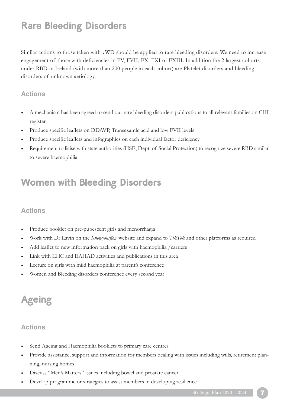# **Rare Bleeding Disorders**

Similar actions to those taken with vWD should be applied to rare bleeding disorders. We need to increase engagement of those with deficiencies in FV, FVII, FX, FXI or FXIII. In addition the 2 largest cohorts under RBD in Ireland (with more than 200 people in each cohort) are Platelet disorders and bleeding disorders of unknown aetiology.

### **Actions**

- A mechanism has been agreed to send our rare bleeding disorders publications to all relevant families on CHI register
- Produce specific leaflets on DDAVP, Transexamic acid and low FVII levels
- Produce specific leaflets and infographics on each individual factor deficiency
- Requirement to liaise with state authorities (HSE, Dept. of Social Protection) to recognize severe RBD similar to severe haemophilia

### **Women with Bleeding Disorders**

### **Actions**

- Produce booklet on pre-pubescent girls and menorrhagia
- Work with Dr Lavin on the *Knowyourflow* website and expand to *TikTok* and other platforms as required
- Add leaflet to new information pack on girls with haemophilia / carriers
- Link with EHC and EAHAD activities and publications in this area
- Lecture on girls with mild haemophilia at parent's conference
- Women and Bleeding disorders conference every second year

# **Ageing**

- Send Ageing and Haemophilia booklets to primary care centres
- Provide assistance, support and information for members dealing with issues including wills, retirement planning, nursing homes
- Discuss "Men's Matters" issues including bowel and prostate cancer
- Develop programme or strategies to assist members in developing resilience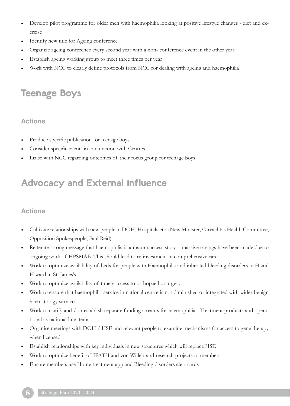- Develop pilot programme for older men with haemophilia looking at positive lifestyle changes diet and exercise
- Identify new title for Ageing conference
- Organize ageing conference every second year with a non- conference event in the other year
- Establish ageing working group to meet three times per year
- Work with NCC to clearly define protocols from NCC for dealing with ageing and haemophilia

# **Teenage Boys**

### **Actions**

- Produce specific publication for teenage boys
- Consider specific event- in conjunction with Centres
- Liaise with NCC regarding outcomes of their focus group for teenage boys

## **Advocacy and External influence**

- Cultivate relationships with new people in DOH, Hospitals etc. (New Minister, Oireachtas Health Committee, Opposition Spokespeople, Paul Reid)
- Reiterate strong message that haemophilia is a major success story massive savings have been made due to ongoing work of HPSMAB. This should lead to re-investment in comprehensive care
- Work to optimize availability of beds for people with Haemophilia and inherited bleeding disorders in H and H ward in St. James's
- Work to optimize availability of timely access to orthopaedic surgery
- Work to ensure that haemophilia service in national centre is not diminished or integrated with wider benign haematology services
- Work to clarify and / or establish separate funding streams for haemophilia Treatment products and operational as national line items
- Organise meetings with DOH / HSE and relevant people to examine mechanisms for access to gene therapy when licensed.
- Establish relationships with key individuals in new structures which will replace HSE
- Work to optimize benefit of IPATH and von Willebrand research projects to members
- Ensure members use Home treatment app and Bleeding disorders alert cards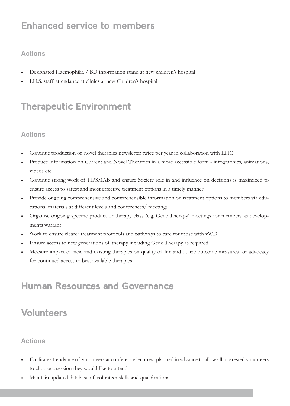## **Enhanced service to members**

### **Actions**

- Designated Haemophilia / BD information stand at new children's hospital
- I.H.S. staff attendance at clinics at new Children's hospital

# **Therapeutic Environment**

### **Actions**

- Continue production of novel therapies newsletter twice per year in collaboration with EHC
- Produce information on Current and Novel Therapies in a more accessible form infographics, animations, videos etc.
- Continue strong work of HPSMAB and ensure Society role in and influence on decisions is maximized to ensure access to safest and most effective treatment options in a timely manner
- Provide ongoing comprehensive and comprehensible information on treatment options to members via educational materials at different levels and conferences/ meetings
- Organise ongoing specific product or therapy class (e.g. Gene Therapy) meetings for members as developments warrant
- Work to ensure clearer treatment protocols and pathways to care for those with vWD
- Ensure access to new generations of therapy including Gene Therapy as required
- Measure impact of new and existing therapies on quality of life and utilize outcome measures for advocacy for continued access to best available therapies

### **Human Resources and Governance**

# **Volunteers**

- Facilitate attendance of volunteers at conference lectures- planned in advance to allow all interested volunteers to choose a session they would like to attend
- Maintain updated database of volunteer skills and qualifications